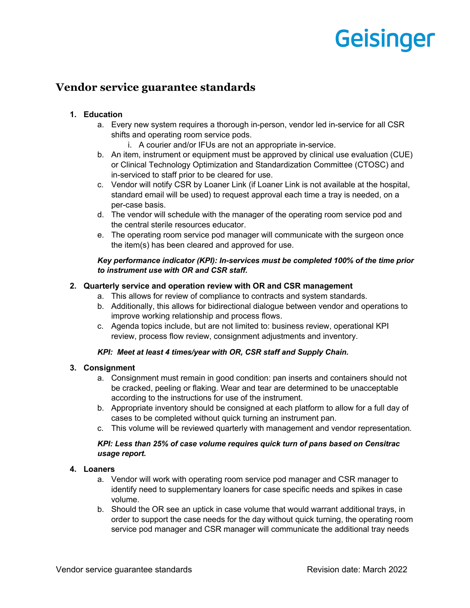# **Geisinger**

# **Vendor service guarantee standards**

# **1. Education**

- a. Every new system requires a thorough in-person, vendor led in-service for all CSR shifts and operating room service pods.
	- i. A courier and/or IFUs are not an appropriate in-service.
- b. An item, instrument or equipment must be approved by clinical use evaluation (CUE) or Clinical Technology Optimization and Standardization Committee (CTOSC) and in-serviced to staff prior to be cleared for use.
- c. Vendor will notify CSR by Loaner Link (if Loaner Link is not available at the hospital, standard email will be used) to request approval each time a tray is needed, on a per-case basis.
- d. The vendor will schedule with the manager of the operating room service pod and the central sterile resources educator.
- e. The operating room service pod manager will communicate with the surgeon once the item(s) has been cleared and approved for use.

# *Key performance indicator (KPI): In-services must be completed 100% of the time prior to instrument use with OR and CSR staff.*

# **2. Quarterly service and operation review with OR and CSR management**

- a. This allows for review of compliance to contracts and system standards.
- b. Additionally, this allows for bidirectional dialogue between vendor and operations to improve working relationship and process flows.
- c. Agenda topics include, but are not limited to: business review, operational KPI review, process flow review, consignment adjustments and inventory.

# *KPI: Meet at least 4 times/year with OR, CSR staff and Supply Chain.*

# **3. Consignment**

- a. Consignment must remain in good condition: pan inserts and containers should not be cracked, peeling or flaking. Wear and tear are determined to be unacceptable according to the instructions for use of the instrument.
- b. Appropriate inventory should be consigned at each platform to allow for a full day of cases to be completed without quick turning an instrument pan.
- c. This volume will be reviewed quarterly with management and vendor representation.

# *KPI: Less than 25% of case volume requires quick turn of pans based on Censitrac usage report.*

# **4. Loaners**

- a. Vendor will work with operating room service pod manager and CSR manager to identify need to supplementary loaners for case specific needs and spikes in case volume.
- b. Should the OR see an uptick in case volume that would warrant additional trays, in order to support the case needs for the day without quick turning, the operating room service pod manager and CSR manager will communicate the additional tray needs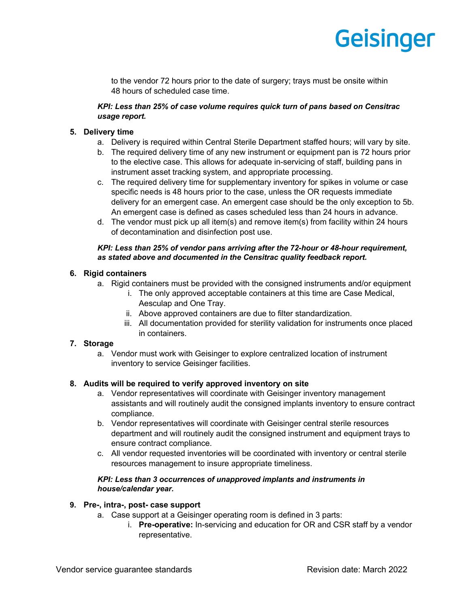# **Geisinger**

to the vendor 72 hours prior to the date of surgery; trays must be onsite within 48 hours of scheduled case time.

# *KPI: Less than 25% of case volume requires quick turn of pans based on Censitrac usage report.*

# **5. Delivery time**

- a. Delivery is required within Central Sterile Department staffed hours; will vary by site.
- b. The required delivery time of any new instrument or equipment pan is 72 hours prior to the elective case. This allows for adequate in-servicing of staff, building pans in instrument asset tracking system, and appropriate processing.
- c. The required delivery time for supplementary inventory for spikes in volume or case specific needs is 48 hours prior to the case, unless the OR requests immediate delivery for an emergent case. An emergent case should be the only exception to 5b. An emergent case is defined as cases scheduled less than 24 hours in advance.
- d. The vendor must pick up all item(s) and remove item(s) from facility within 24 hours of decontamination and disinfection post use.

#### *KPI: Less than 25% of vendor pans arriving after the 72-hour or 48-hour requirement, as stated above and documented in the Censitrac quality feedback report.*

# **6. Rigid containers**

- a. Rigid containers must be provided with the consigned instruments and/or equipment
	- i. The only approved acceptable containers at this time are Case Medical, Aesculap and One Tray.
	- ii. Above approved containers are due to filter standardization.
	- iii. All documentation provided for sterility validation for instruments once placed in containers.

# **7. Storage**

a. Vendor must work with Geisinger to explore centralized location of instrument inventory to service Geisinger facilities.

# **8. Audits will be required to verify approved inventory on site**

- a. Vendor representatives will coordinate with Geisinger inventory management assistants and will routinely audit the consigned implants inventory to ensure contract compliance.
- b. Vendor representatives will coordinate with Geisinger central sterile resources department and will routinely audit the consigned instrument and equipment trays to ensure contract compliance.
- c. All vendor requested inventories will be coordinated with inventory or central sterile resources management to insure appropriate timeliness.

# *KPI: Less than 3 occurrences of unapproved implants and instruments in house/calendar year.*

# **9. Pre-, intra-, post- case support**

- a. Case support at a Geisinger operating room is defined in 3 parts:
	- i. **Pre-operative:** In-servicing and education for OR and CSR staff by a vendor representative.